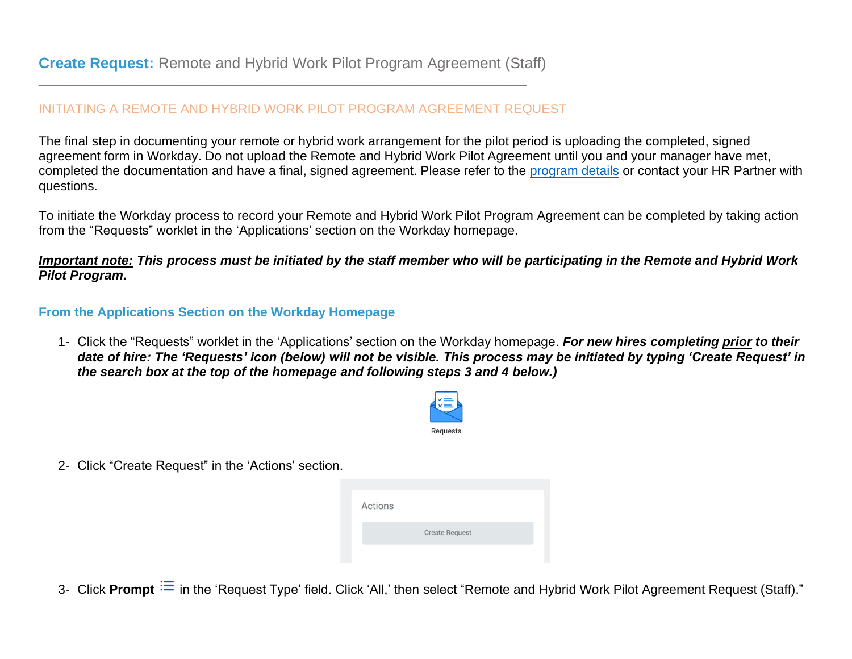\_\_\_\_\_\_\_\_\_\_\_\_\_\_\_\_\_\_\_\_\_\_\_\_\_\_\_\_\_\_\_\_\_\_\_\_\_\_\_\_\_\_\_\_\_\_\_\_\_\_\_\_\_\_\_\_\_\_\_\_\_\_\_\_\_\_\_\_

## INITIATING A REMOTE AND HYBRID WORK PILOT PROGRAM AGREEMENT REQUEST

The final step in documenting your remote or hybrid work arrangement for the pilot period is uploading the completed, signed agreement form in Workday. Do not upload the Remote and Hybrid Work Pilot Agreement until you and your manager have met, completed the documentation and have a final, signed agreement. Please refer to the [program details](https://covid.risd.edu/working-at-risd/work-pilot/) or contact your HR Partner with questions.

To initiate the Workday process to record your Remote and Hybrid Work Pilot Program Agreement can be completed by taking action from the "Requests" worklet in the 'Applications' section on the Workday homepage.

## *Important note: This process must be initiated by the staff member who will be participating in the Remote and Hybrid Work Pilot Program.*

## **From the Applications Section on the Workday Homepage**

1- Click the "Requests" worklet in the 'Applications' section on the Workday homepage. *For new hires completing prior to their date of hire: The 'Requests' icon (below) will not be visible. This process may be initiated by typing 'Create Request' in the search box at the top of the homepage and following steps 3 and 4 below.)*



2- Click "Create Request" in the 'Actions' section.

| Actions |                       |  |
|---------|-----------------------|--|
|         | <b>Create Request</b> |  |
|         |                       |  |

3- Click Prompt  $\Xi$  in the 'Request Type' field. Click 'All,' then select "Remote and Hybrid Work Pilot Agreement Request (Staff)."